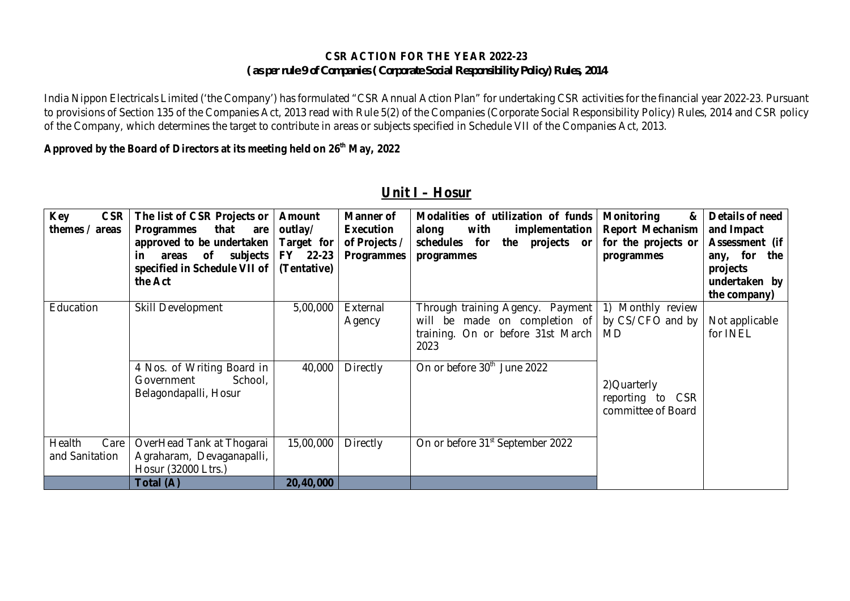#### **CSR ACTION FOR THE YEAR 2022-23** *( as per rule 9 of Companies ( Corporate Social Responsibility Policy) Rules, 2014*

India Nippon Electricals Limited ('the Company') has formulated "CSR Annual Action Plan" for undertaking CSR activities for the financial year 2022-23. Pursuant to provisions of Section 135 of the Companies Act, 2013 read with Rule 5(2) of the Companies (Corporate Social Responsibility Policy) Rules, 2014 and CSR policy of the Company, which determines the target to contribute in areas or subjects specified in Schedule VII of the Companies Act, 2013.

#### **Approved by the Board of Directors at its meeting held on 26th May, 2022**

| <b>Key</b><br>CSR  <br>themes / areas | The list of CSR Projects or<br>that<br><b>Programmes</b><br>are<br>approved to be undertaken<br>in areas of subjects<br>specified in Schedule VII of<br>the Act | <b>Amount</b><br>outlay/<br>Target for<br>FY 22-23<br>(Tentative) | <b>Manner of</b><br>Execution<br>of Projects /<br><b>Programmes</b> | Modalities of utilization of funds<br>with<br>implementation<br>along<br>for<br>schedules<br>the projects or<br>programmes | <b>Monitoring</b><br>&<br><b>Report Mechanism</b><br>for the projects or<br>programmes | Details of need<br>and Impact<br>Assessment (if<br>any, for the<br>projects<br>undertaken by<br>the company) |
|---------------------------------------|-----------------------------------------------------------------------------------------------------------------------------------------------------------------|-------------------------------------------------------------------|---------------------------------------------------------------------|----------------------------------------------------------------------------------------------------------------------------|----------------------------------------------------------------------------------------|--------------------------------------------------------------------------------------------------------------|
| Education                             | Skill Development                                                                                                                                               | 5,00,000                                                          | External<br>Agency                                                  | Through training Agency. Payment<br>will be made on completion of<br>training. On or before 31st March<br>2023             | 1) Monthly review<br>by CS/CFO and by<br>MD                                            | Not applicable<br>for INEL                                                                                   |
|                                       | 4 Nos. of Writing Board in<br>School,<br>Government<br>Belagondapalli, Hosur                                                                                    | 40,000                                                            | Directly                                                            | On or before 30 <sup>th</sup> June 2022                                                                                    | 2) Quarterly<br>reporting to CSR<br>committee of Board                                 |                                                                                                              |
| Health<br>Care<br>and Sanitation      | OverHead Tank at Thogarai<br>Agraharam, Devaganapalli,<br>Hosur (32000 Ltrs.)                                                                                   | 15,00,000                                                         | <b>Directly</b>                                                     | On or before 31 <sup>st</sup> September 2022                                                                               |                                                                                        |                                                                                                              |
|                                       | Total (A)                                                                                                                                                       | 20,40,000                                                         |                                                                     |                                                                                                                            |                                                                                        |                                                                                                              |

### **Unit I – Hosur**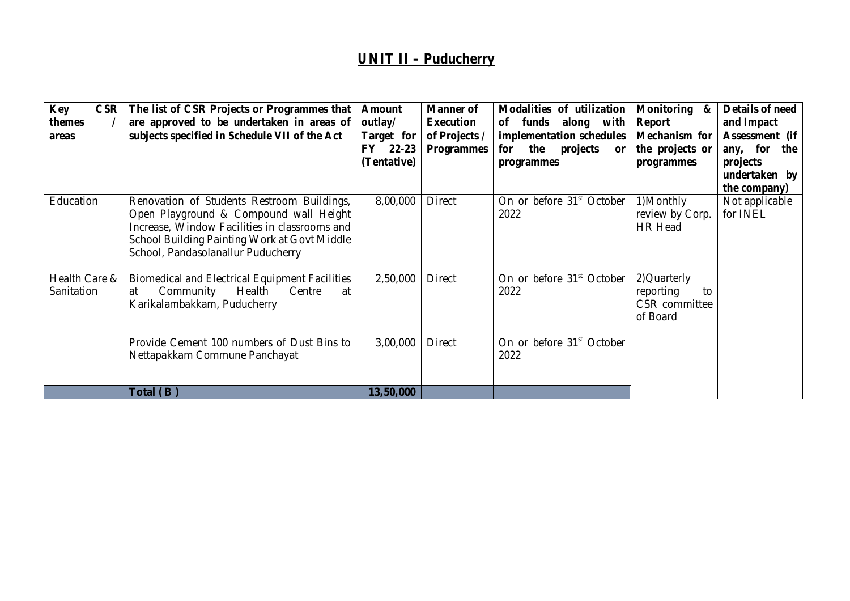# **UNIT II – Puducherry**

| are approved to be undertaken in areas of<br>themes<br>subjects specified in Schedule VII of the Act<br>areas                                                                                                                            | Target for<br>FY 22-23<br>(Tentative) | outlay/<br>of Projects /<br><b>Programmes</b> | of funds along with<br>implementation schedules<br>the<br>for<br>projects<br>or<br>programmes | Report<br>Mechanism for<br>the projects or<br>programmes     | and Impact<br>Assessment (if<br>any, for<br>the<br>projects<br>undertaken by<br>the company) |
|------------------------------------------------------------------------------------------------------------------------------------------------------------------------------------------------------------------------------------------|---------------------------------------|-----------------------------------------------|-----------------------------------------------------------------------------------------------|--------------------------------------------------------------|----------------------------------------------------------------------------------------------|
| Education<br>Renovation of Students Restroom Buildings,<br>Open Playground & Compound wall Height<br>Increase, Window Facilities in classrooms and<br>School Building Painting Work at Govt Middle<br>School, Pandasolanallur Puducherry | 8,00,000                              | <b>Direct</b>                                 | On or before 31 <sup>st</sup> October<br>2022                                                 | 1)Monthly<br>review by Corp.<br>HR Head                      | Not applicable<br>for INEL                                                                   |
| Health Care &<br><b>Biomedical and Electrical Equipment Facilities</b><br>Sanitation<br>Community<br>Health<br>at<br>Karikalambakkam, Puducherry                                                                                         | 2,50,000<br>Centre<br>at              | <b>Direct</b>                                 | On or before 31 <sup>st</sup> October<br>2022                                                 | 2) Quarterly<br>reporting<br>to<br>CSR committee<br>of Board |                                                                                              |
| Provide Cement 100 numbers of Dust Bins to<br>Nettapakkam Commune Panchayat<br>Total (B)                                                                                                                                                 | 3,00,000<br>13,50,000                 | <b>Direct</b>                                 | On or before 31 <sup>st</sup> October<br>2022                                                 |                                                              |                                                                                              |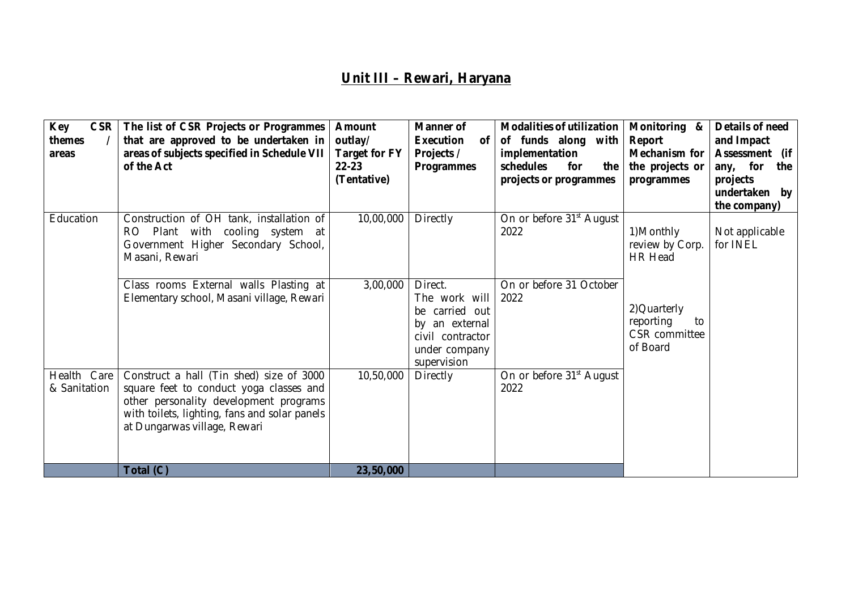# **Unit III – Rewari, Haryana**

| <b>Key</b><br><b>CSR</b><br>themes<br>areas | The list of CSR Projects or Programmes<br>that are approved to be undertaken in<br>areas of subjects specified in Schedule VII<br>of the Act                                                                   | <b>Amount</b><br>outlay/<br><b>Target for FY</b><br>$22 - 23$<br>(Tentative) | <b>Manner of</b><br><b>Execution</b><br>0f<br>Projects /<br><b>Programmes</b>                                    | <b>Modalities of utilization</b><br>of funds along with<br>implementation<br>schedules<br>for<br>the<br>projects or programmes | Monitoring &<br>Report<br>Mechanism for<br>the projects or<br>programmes | Details of need<br>and Impact<br>Assessment (if<br>any, for<br>the<br>projects<br>undertaken by<br>the company) |
|---------------------------------------------|----------------------------------------------------------------------------------------------------------------------------------------------------------------------------------------------------------------|------------------------------------------------------------------------------|------------------------------------------------------------------------------------------------------------------|--------------------------------------------------------------------------------------------------------------------------------|--------------------------------------------------------------------------|-----------------------------------------------------------------------------------------------------------------|
| Education                                   | Construction of OH tank, installation of<br>Plant with cooling system at<br>RO.<br>Government Higher Secondary School,<br>Masani, Rewari                                                                       | 10,00,000                                                                    | <b>Directly</b>                                                                                                  | On or before 31 <sup>st</sup> August<br>2022                                                                                   | 1)Monthly<br>review by Corp.<br><b>HR Head</b>                           | Not applicable<br>for INEL                                                                                      |
|                                             | Class rooms External walls Plasting at<br>Elementary school, Masani village, Rewari                                                                                                                            | 3,00,000                                                                     | Direct.<br>The work will<br>be carried out<br>by an external<br>civil contractor<br>under company<br>supervision | On or before 31 October<br>2022                                                                                                | 2) Quarterly<br>reporting<br>to<br>CSR committee<br>of Board             |                                                                                                                 |
| Care<br>Health<br>& Sanitation              | Construct a hall (Tin shed) size of 3000<br>square feet to conduct yoga classes and<br>other personality development programs<br>with toilets, lighting, fans and solar panels<br>at Dungarwas village, Rewari | 10,50,000                                                                    | <b>Directly</b>                                                                                                  | On or before 31 <sup>st</sup> August<br>2022                                                                                   |                                                                          |                                                                                                                 |
|                                             | Total (C)                                                                                                                                                                                                      | 23,50,000                                                                    |                                                                                                                  |                                                                                                                                |                                                                          |                                                                                                                 |